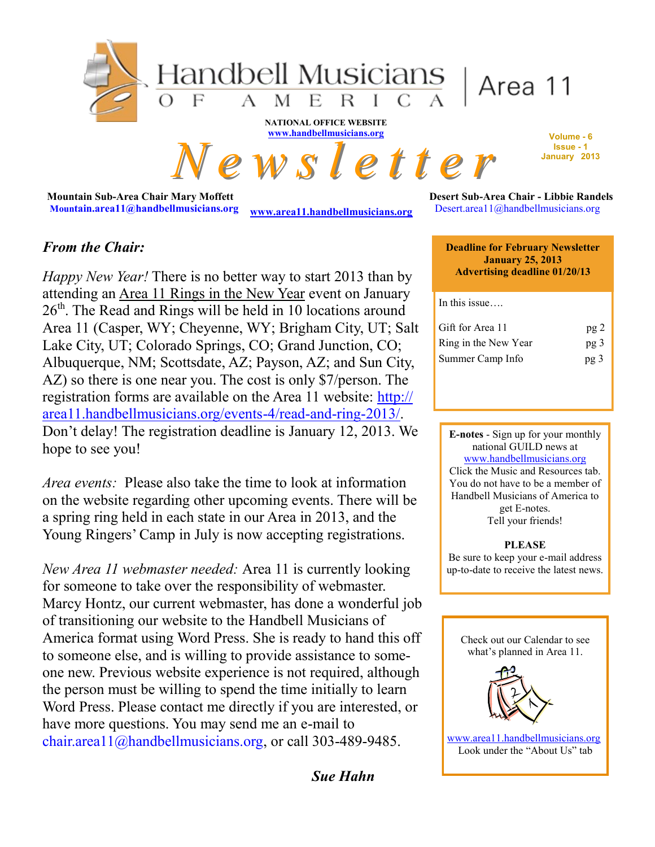

**Mountain Sub-Area Chair Mary Moffett Mountain.area11@handbellmusicians.org** 

**[www.area11.handbellmusicians.org](http://www.area11.handbellmusicians.org)** 

**Desert Sub-Area Chair - Libbie Randels**  Desert.area11@handbellmusicians.org

## *From the Chair:*

*Happy New Year!* There is no better way to start 2013 than by attending an Area 11 Rings in the New Year event on January  $26<sup>th</sup>$ . The Read and Rings will be held in 10 locations around Area 11 (Casper, WY; Cheyenne, WY; Brigham City, UT; Salt Lake City, UT; Colorado Springs, CO; Grand Junction, CO; Albuquerque, NM; Scottsdate, AZ; Payson, AZ; and Sun City, AZ) so there is one near you. The cost is only \$7/person. The registration forms are available on the Area 11 website: [http://](http://area11.handbellmusicians.org/events-4/read-and-ring-2013/) [area11.handbellmusicians.org/events-4/read-and-ring-2013/.](http://area11.handbellmusicians.org/events-4/read-and-ring-2013/)  Don't delay! The registration deadline is January 12, 2013. We hope to see you!

*Area events:* Please also take the time to look at information on the website regarding other upcoming events. There will be a spring ring held in each state in our Area in 2013, and the Young Ringers' Camp in July is now accepting registrations.

*New Area 11 webmaster needed:* Area 11 is currently looking for someone to take over the responsibility of webmaster. Marcy Hontz, our current webmaster, has done a wonderful job of transitioning our website to the Handbell Musicians of America format using Word Press. She is ready to hand this off to someone else, and is willing to provide assistance to someone new. Previous website experience is not required, although the person must be willing to spend the time initially to learn Word Press. Please contact me directly if you are interested, or have more questions. You may send me an e-mail to chair.area11@handbellmusicians.org, or call 303-489-9485.

*Sue Hahn*

**Deadline for February Newsletter January 25, 2013 Advertising deadline 01/20/13**

In this issue

| Gift for Area 11     | pg2             |
|----------------------|-----------------|
| Ring in the New Year | pg <sub>3</sub> |
| Summer Camp Info     | pg 3            |

**E-notes** - Sign up for your monthly national GUILD news at [www.handbellmusicians.org](http://handbellmusicians.org/music-resources/e-newsletters/) Click the Music and Resources tab. You do not have to be a member of Handbell Musicians of America to get E-notes. Tell your friends!

**PLEASE** Be sure to keep your e-mail address up-to-date to receive the latest news.

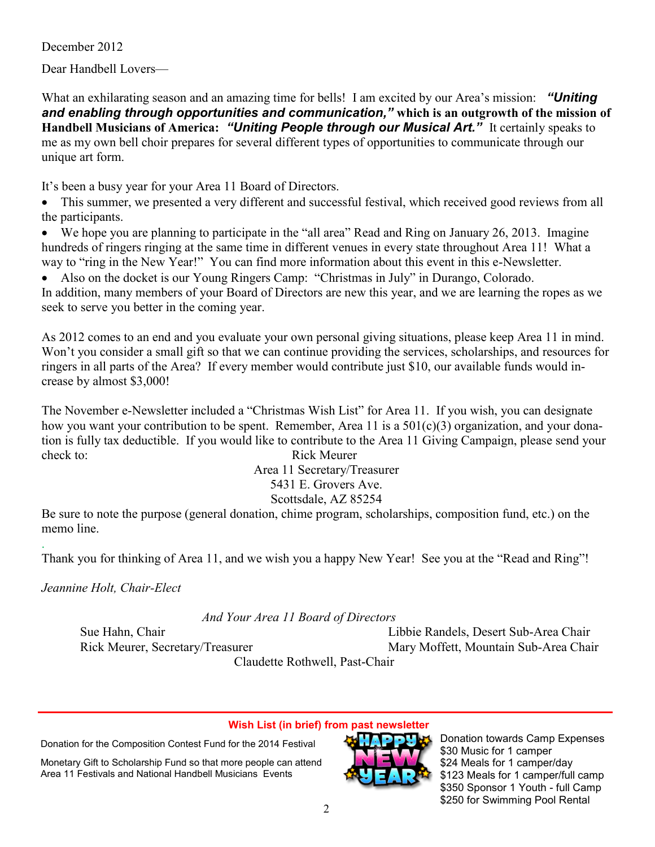December 2012

Dear Handbell Lovers—

What an exhilarating season and an amazing time for bells! I am excited by our Area's mission: *"Uniting and enabling through opportunities and communication,"* **which is an outgrowth of the mission of Handbell Musicians of America:** *"Uniting People through our Musical Art."* It certainly speaks to me as my own bell choir prepares for several different types of opportunities to communicate through our unique art form.

It's been a busy year for your Area 11 Board of Directors.

• This summer, we presented a very different and successful festival, which received good reviews from all the participants.

 We hope you are planning to participate in the "all area" Read and Ring on January 26, 2013. Imagine hundreds of ringers ringing at the same time in different venues in every state throughout Area 11! What a way to "ring in the New Year!" You can find more information about this event in this e-Newsletter.

 Also on the docket is our Young Ringers Camp: "Christmas in July" in Durango, Colorado. In addition, many members of your Board of Directors are new this year, and we are learning the ropes as we seek to serve you better in the coming year.

As 2012 comes to an end and you evaluate your own personal giving situations, please keep Area 11 in mind. Won't you consider a small gift so that we can continue providing the services, scholarships, and resources for ringers in all parts of the Area? If every member would contribute just \$10, our available funds would increase by almost \$3,000!

The November e-Newsletter included a "Christmas Wish List" for Area 11. If you wish, you can designate how you want your contribution to be spent. Remember, Area 11 is a 501(c)(3) organization, and your donation is fully tax deductible. If you would like to contribute to the Area 11 Giving Campaign, please send your check to: Rick Meurer

Area 11 Secretary/Treasurer 5431 E. Grovers Ave. Scottsdale, AZ 85254

Be sure to note the purpose (general donation, chime program, scholarships, composition fund, etc.) on the memo line.

. Thank you for thinking of Area 11, and we wish you a happy New Year! See you at the "Read and Ring"!

*Jeannine Holt, Chair-Elect*

 *And Your Area 11 Board of Directors*

Sue Hahn, Chair Libbie Randels, Desert Sub-Area Chair Rick Meurer, Secretary/Treasurer Mary Moffett, Mountain Sub-Area Chair

Claudette Rothwell, Past-Chair

### **Wish List (in brief) from past newsletter**

Donation for the Composition Contest Fund for the 2014 Festival

Monetary Gift to Scholarship Fund so that more people can attend Area 11 Festivals and National Handbell Musicians Events



Donation towards Camp Expenses \$30 Music for 1 camper \$24 Meals for 1 camper/day \$123 Meals for 1 camper/full camp \$350 Sponsor 1 Youth - full Camp \$250 for Swimming Pool Rental